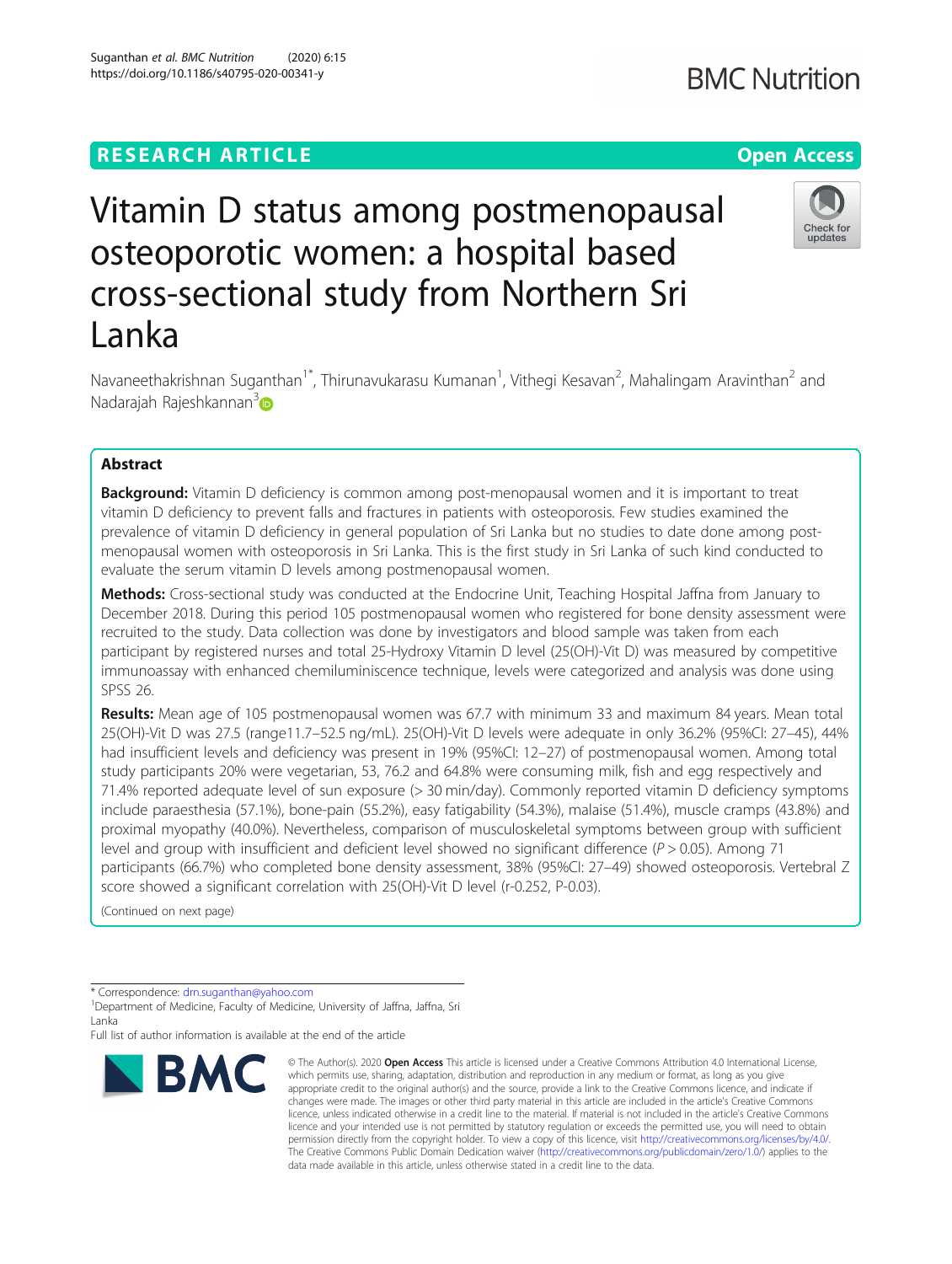# **RESEARCH ARTICLE Example 2014 12:30 The Contract of Contract ACCESS**

# Vitamin D status among postmenopausal osteoporotic women: a hospital based cross-sectional study from Northern Sri Lanka

Navaneethakrishnan Suganthan<sup>1\*</sup>, Thirunavukarasu Kumanan<sup>1</sup>, Vithegi Kesavan<sup>2</sup>, Mahalingam Aravinthan<sup>2</sup> and Nadarajah Rajeshkannan<sup>[3](https://orcid.org/0000-0001-9045-3369)</sup>

# Abstract

**Background:** Vitamin D deficiency is common among post-menopausal women and it is important to treat vitamin D deficiency to prevent falls and fractures in patients with osteoporosis. Few studies examined the prevalence of vitamin D deficiency in general population of Sri Lanka but no studies to date done among postmenopausal women with osteoporosis in Sri Lanka. This is the first study in Sri Lanka of such kind conducted to evaluate the serum vitamin D levels among postmenopausal women.

Methods: Cross-sectional study was conducted at the Endocrine Unit, Teaching Hospital Jaffna from January to December 2018. During this period 105 postmenopausal women who registered for bone density assessment were recruited to the study. Data collection was done by investigators and blood sample was taken from each participant by registered nurses and total 25-Hydroxy Vitamin D level (25(OH)-Vit D) was measured by competitive immunoassay with enhanced chemiluminiscence technique, levels were categorized and analysis was done using SPSS 26.

Results: Mean age of 105 postmenopausal women was 67.7 with minimum 33 and maximum 84 years. Mean total 25(OH)-Vit D was 27.5 (range11.7–52.5 ng/mL). 25(OH)-Vit D levels were adequate in only 36.2% (95%CI: 27–45), 44% had insufficient levels and deficiency was present in 19% (95%CI: 12–27) of postmenopausal women. Among total study participants 20% were vegetarian, 53, 76.2 and 64.8% were consuming milk, fish and egg respectively and 71.4% reported adequate level of sun exposure (> 30 min/day). Commonly reported vitamin D deficiency symptoms include paraesthesia (57.1%), bone-pain (55.2%), easy fatigability (54.3%), malaise (51.4%), muscle cramps (43.8%) and proximal myopathy (40.0%). Nevertheless, comparison of musculoskeletal symptoms between group with sufficient level and group with insufficient and deficient level showed no significant difference ( $P > 0.05$ ). Among 71 participants (66.7%) who completed bone density assessment, 38% (95%CI: 27–49) showed osteoporosis. Vertebral Z score showed a significant correlation with 25(OH)-Vit D level (r-0.252, P-0.03).

(Continued on next page)

\* Correspondence: [drn.suganthan@yahoo.com](mailto:drn.suganthan@yahoo.com) <sup>1</sup>

<sup>1</sup> Department of Medicine, Faculty of Medicine, University of Jaffna, Jaffna, Sri Lanka

Full list of author information is available at the end of the article





<sup>©</sup> The Author(s), 2020 **Open Access** This article is licensed under a Creative Commons Attribution 4.0 International License, which permits use, sharing, adaptation, distribution and reproduction in any medium or format, as long as you give appropriate credit to the original author(s) and the source, provide a link to the Creative Commons licence, and indicate if changes were made. The images or other third party material in this article are included in the article's Creative Commons licence, unless indicated otherwise in a credit line to the material. If material is not included in the article's Creative Commons licence and your intended use is not permitted by statutory regulation or exceeds the permitted use, you will need to obtain permission directly from the copyright holder. To view a copy of this licence, visit [http://creativecommons.org/licenses/by/4.0/.](http://creativecommons.org/licenses/by/4.0/) The Creative Commons Public Domain Dedication waiver [\(http://creativecommons.org/publicdomain/zero/1.0/](http://creativecommons.org/publicdomain/zero/1.0/)) applies to the data made available in this article, unless otherwise stated in a credit line to the data.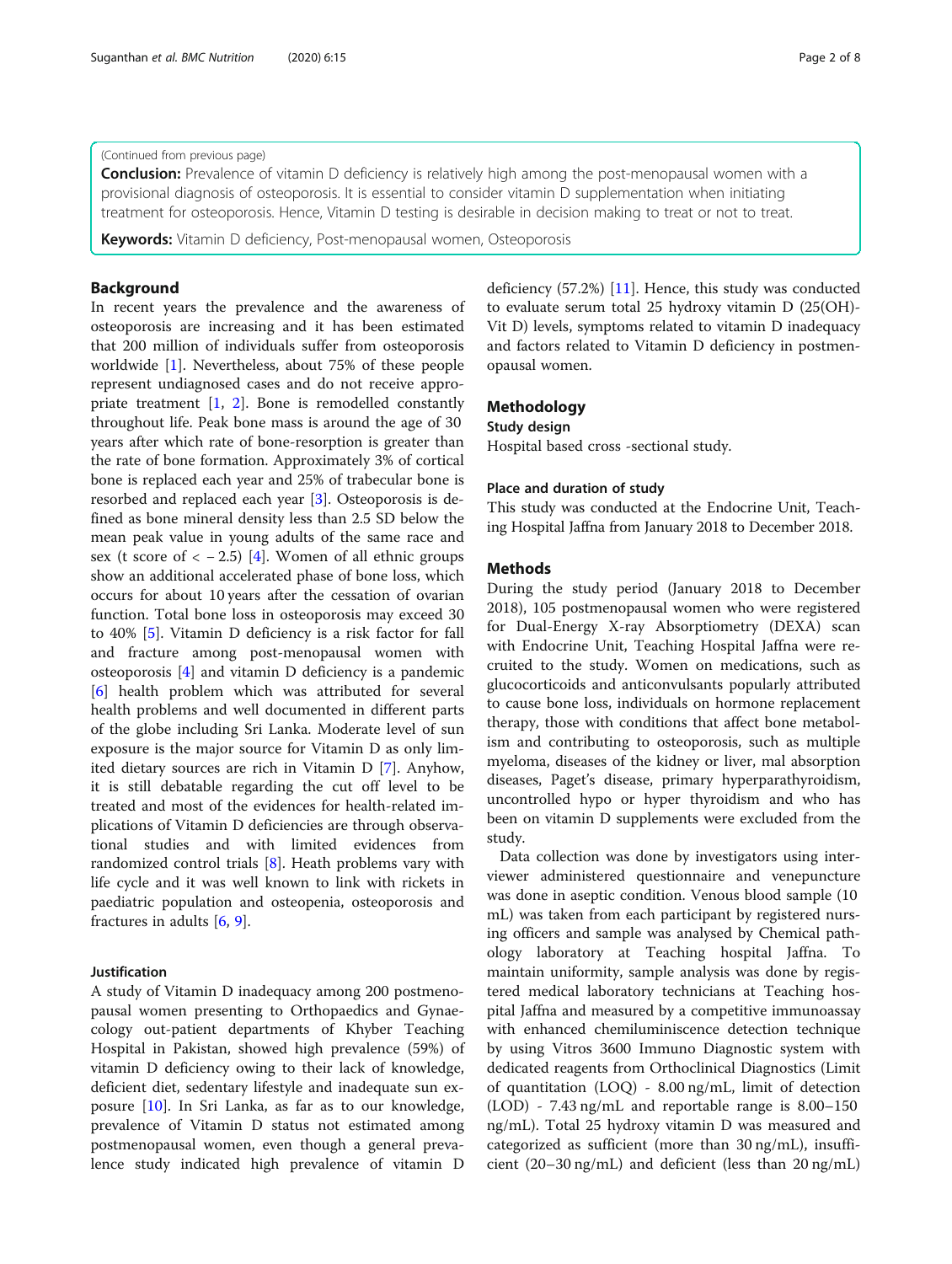### (Continued from previous page)

**Conclusion:** Prevalence of vitamin D deficiency is relatively high among the post-menopausal women with a provisional diagnosis of osteoporosis. It is essential to consider vitamin D supplementation when initiating treatment for osteoporosis. Hence, Vitamin D testing is desirable in decision making to treat or not to treat.

**Keywords:** Vitamin D deficiency, Post-menopausal women, Osteoporosis

# Background

In recent years the prevalence and the awareness of osteoporosis are increasing and it has been estimated that 200 million of individuals suffer from osteoporosis worldwide [\[1](#page-7-0)]. Nevertheless, about 75% of these people represent undiagnosed cases and do not receive appropriate treatment [\[1](#page-7-0), [2](#page-7-0)]. Bone is remodelled constantly throughout life. Peak bone mass is around the age of 30 years after which rate of bone-resorption is greater than the rate of bone formation. Approximately 3% of cortical bone is replaced each year and 25% of trabecular bone is resorbed and replaced each year [\[3\]](#page-7-0). Osteoporosis is defined as bone mineral density less than 2.5 SD below the mean peak value in young adults of the same race and sex (t score of  $<-2.5$ ) [[4](#page-7-0)]. Women of all ethnic groups show an additional accelerated phase of bone loss, which occurs for about 10 years after the cessation of ovarian function. Total bone loss in osteoporosis may exceed 30 to 40% [\[5](#page-7-0)]. Vitamin D deficiency is a risk factor for fall and fracture among post-menopausal women with osteoporosis [\[4](#page-7-0)] and vitamin D deficiency is a pandemic [[6\]](#page-7-0) health problem which was attributed for several health problems and well documented in different parts of the globe including Sri Lanka. Moderate level of sun exposure is the major source for Vitamin D as only limited dietary sources are rich in Vitamin D [\[7](#page-7-0)]. Anyhow, it is still debatable regarding the cut off level to be treated and most of the evidences for health-related implications of Vitamin D deficiencies are through observational studies and with limited evidences from randomized control trials [\[8](#page-7-0)]. Heath problems vary with life cycle and it was well known to link with rickets in paediatric population and osteopenia, osteoporosis and fractures in adults [[6,](#page-7-0) [9\]](#page-7-0).

#### Justification

A study of Vitamin D inadequacy among 200 postmenopausal women presenting to Orthopaedics and Gynaecology out-patient departments of Khyber Teaching Hospital in Pakistan, showed high prevalence (59%) of vitamin D deficiency owing to their lack of knowledge, deficient diet, sedentary lifestyle and inadequate sun exposure [[10\]](#page-7-0). In Sri Lanka, as far as to our knowledge, prevalence of Vitamin D status not estimated among postmenopausal women, even though a general prevalence study indicated high prevalence of vitamin D deficiency (57.2%) [[11\]](#page-7-0). Hence, this study was conducted to evaluate serum total 25 hydroxy vitamin D (25(OH)- Vit D) levels, symptoms related to vitamin D inadequacy and factors related to Vitamin D deficiency in postmenopausal women.

# Methodology

# Study design

Hospital based cross -sectional study.

# Place and duration of study

This study was conducted at the Endocrine Unit, Teaching Hospital Jaffna from January 2018 to December 2018.

# Methods

During the study period (January 2018 to December 2018), 105 postmenopausal women who were registered for Dual-Energy X-ray Absorptiometry (DEXA) scan with Endocrine Unit, Teaching Hospital Jaffna were recruited to the study. Women on medications, such as glucocorticoids and anticonvulsants popularly attributed to cause bone loss, individuals on hormone replacement therapy, those with conditions that affect bone metabolism and contributing to osteoporosis, such as multiple myeloma, diseases of the kidney or liver, mal absorption diseases, Paget's disease, primary hyperparathyroidism, uncontrolled hypo or hyper thyroidism and who has been on vitamin D supplements were excluded from the study.

Data collection was done by investigators using interviewer administered questionnaire and venepuncture was done in aseptic condition. Venous blood sample (10 mL) was taken from each participant by registered nursing officers and sample was analysed by Chemical pathology laboratory at Teaching hospital Jaffna. To maintain uniformity, sample analysis was done by registered medical laboratory technicians at Teaching hospital Jaffna and measured by a competitive immunoassay with enhanced chemiluminiscence detection technique by using Vitros 3600 Immuno Diagnostic system with dedicated reagents from Orthoclinical Diagnostics (Limit of quantitation (LOQ) - 8.00 ng/mL, limit of detection (LOD) - 7.43 ng/mL and reportable range is 8.00–150 ng/mL). Total 25 hydroxy vitamin D was measured and categorized as sufficient (more than 30 ng/mL), insufficient (20–30 ng/mL) and deficient (less than 20 ng/mL)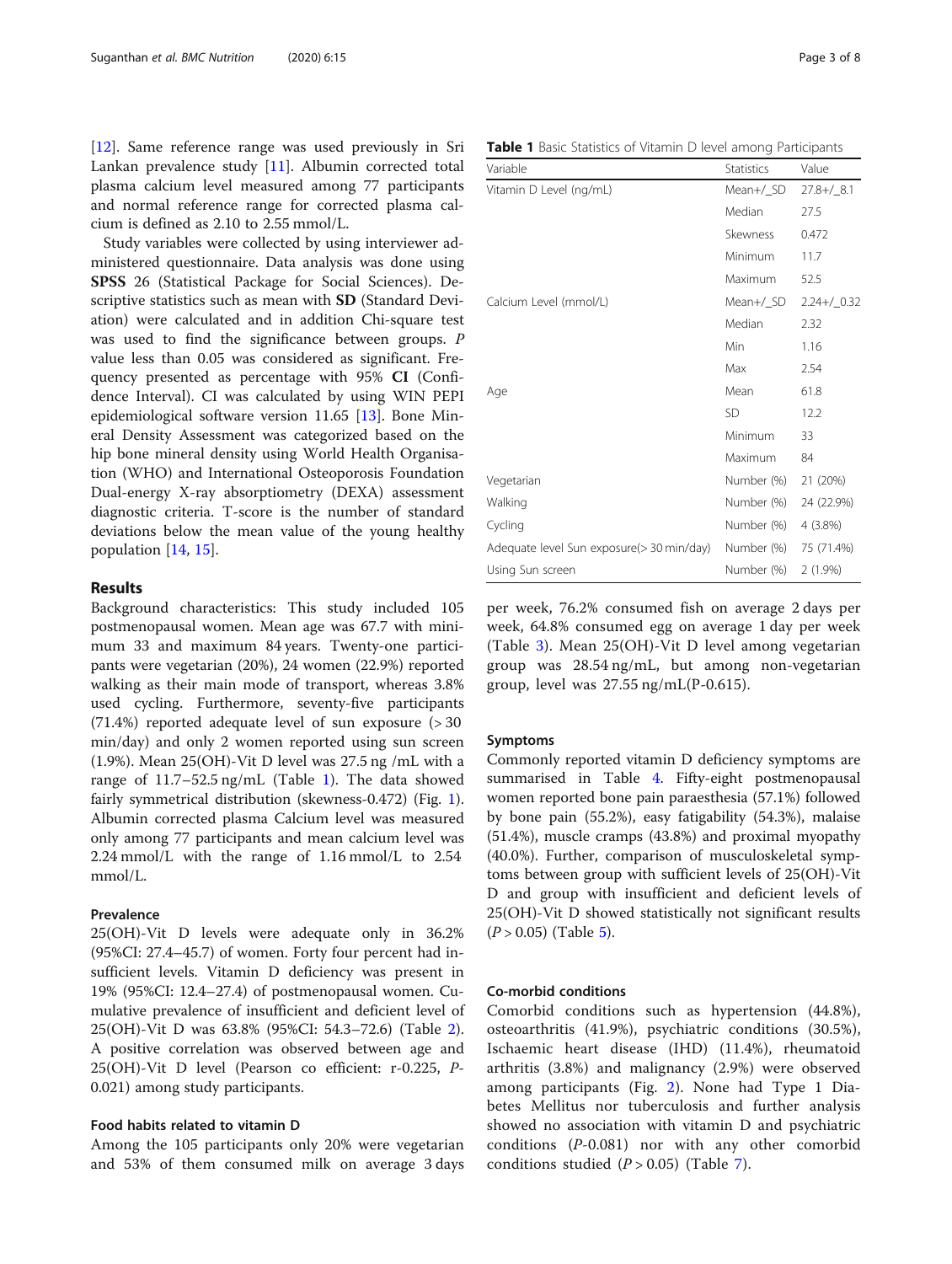[[12\]](#page-7-0). Same reference range was used previously in Sri Lankan prevalence study [[11\]](#page-7-0). Albumin corrected total plasma calcium level measured among 77 participants and normal reference range for corrected plasma calcium is defined as 2.10 to 2.55 mmol/L.

Study variables were collected by using interviewer administered questionnaire. Data analysis was done using SPSS 26 (Statistical Package for Social Sciences). Descriptive statistics such as mean with SD (Standard Deviation) were calculated and in addition Chi-square test was used to find the significance between groups. P value less than 0.05 was considered as significant. Frequency presented as percentage with 95% CI (Confidence Interval). CI was calculated by using WIN PEPI epidemiological software version 11.65 [[13\]](#page-7-0). Bone Mineral Density Assessment was categorized based on the hip bone mineral density using World Health Organisation (WHO) and International Osteoporosis Foundation Dual-energy X-ray absorptiometry (DEXA) assessment diagnostic criteria. T-score is the number of standard deviations below the mean value of the young healthy population [[14,](#page-7-0) [15\]](#page-7-0).

# Results

Background characteristics: This study included 105 postmenopausal women. Mean age was 67.7 with minimum 33 and maximum 84 years. Twenty-one participants were vegetarian (20%), 24 women (22.9%) reported walking as their main mode of transport, whereas 3.8% used cycling. Furthermore, seventy-five participants  $(71.4%)$  reported adequate level of sun exposure  $(>30)$ min/day) and only 2 women reported using sun screen (1.9%). Mean 25(OH)-Vit D level was 27.5 ng /mL with a range of 11.7–52.5 ng/mL (Table 1). The data showed fairly symmetrical distribution (skewness-0.472) (Fig. [1](#page-3-0)). Albumin corrected plasma Calcium level was measured only among 77 participants and mean calcium level was 2.24 mmol/L with the range of 1.16 mmol/L to 2.54 mmol/L.

# Prevalence

25(OH)-Vit D levels were adequate only in 36.2% (95%CI: 27.4–45.7) of women. Forty four percent had insufficient levels. Vitamin D deficiency was present in 19% (95%CI: 12.4–27.4) of postmenopausal women. Cumulative prevalence of insufficient and deficient level of 25(OH)-Vit D was 63.8% (95%CI: 54.3–72.6) (Table [2](#page-3-0)). A positive correlation was observed between age and 25(OH)-Vit D level (Pearson co efficient: r-0.225, P-0.021) among study participants.

# Food habits related to vitamin D

Among the 105 participants only 20% were vegetarian and 53% of them consumed milk on average 3 days

|  |  |  |  | Table 1 Basic Statistics of Vitamin D level among Participants |
|--|--|--|--|----------------------------------------------------------------|

| Variable                                  | <b>Statistics</b> | Value          |
|-------------------------------------------|-------------------|----------------|
| Vitamin D Level (ng/mL)                   | Mean+/_SD         | $27.8 + / 8.1$ |
|                                           | Median            | 27.5           |
|                                           | Skewness          | 0.472          |
|                                           | Minimum           | 11.7           |
|                                           | Maximum           | 52.5           |
| Calcium Level (mmol/L)                    | Mean+/_SD         | $2.24+/0.32$   |
|                                           | Median            | 2.32           |
|                                           | Min               | 1.16           |
|                                           | Max               | 2.54           |
| Age                                       | Mean              | 61.8           |
|                                           | <b>SD</b>         | 12.2           |
|                                           | Minimum           | 33             |
|                                           | Maximum           | 84             |
| Vegetarian                                | Number (%)        | 21 (20%)       |
| Walking                                   | Number (%)        | 24 (22.9%)     |
| Cycling                                   | Number (%)        | $4(3.8\%)$     |
| Adequate level Sun exposure(> 30 min/day) | Number (%)        | 75 (71.4%)     |
| Using Sun screen                          | Number (%)        | $2(1.9\%)$     |
|                                           |                   |                |

per week, 76.2% consumed fish on average 2 days per week, 64.8% consumed egg on average 1 day per week (Table [3](#page-4-0)). Mean 25(OH)-Vit D level among vegetarian group was 28.54 ng/mL, but among non-vegetarian group, level was 27.55 ng/mL(P-0.615).

#### Symptoms

Commonly reported vitamin D deficiency symptoms are summarised in Table [4](#page-4-0). Fifty-eight postmenopausal women reported bone pain paraesthesia (57.1%) followed by bone pain (55.2%), easy fatigability (54.3%), malaise (51.4%), muscle cramps (43.8%) and proximal myopathy (40.0%). Further, comparison of musculoskeletal symptoms between group with sufficient levels of 25(OH)-Vit D and group with insufficient and deficient levels of 25(OH)-Vit D showed statistically not significant results  $(P > 0.05)$  $(P > 0.05)$  (Table 5).

# Co-morbid conditions

Comorbid conditions such as hypertension (44.8%), osteoarthritis (41.9%), psychiatric conditions (30.5%), Ischaemic heart disease (IHD) (11.4%), rheumatoid arthritis (3.8%) and malignancy (2.9%) were observed among participants (Fig. [2](#page-5-0)). None had Type 1 Diabetes Mellitus nor tuberculosis and further analysis showed no association with vitamin D and psychiatric conditions (P-0.081) nor with any other comorbid conditions studied  $(P > 0.05)$  (Table [7\)](#page-6-0).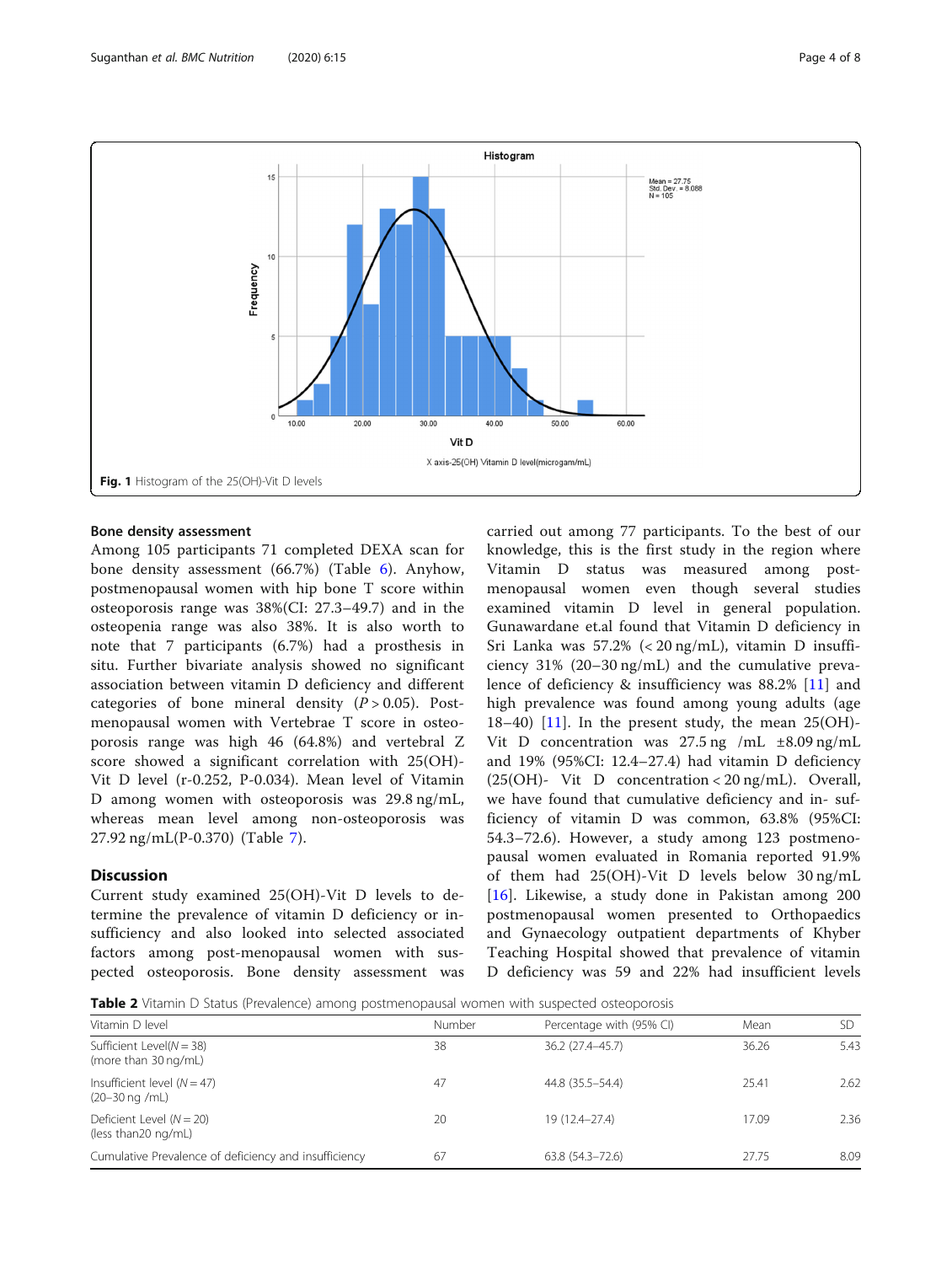<span id="page-3-0"></span>

# Bone density assessment

Among 105 participants 71 completed DEXA scan for bone density assessment (66.7%) (Table [6\)](#page-6-0). Anyhow, postmenopausal women with hip bone T score within osteoporosis range was 38%(CI: 27.3–49.7) and in the osteopenia range was also 38%. It is also worth to note that 7 participants (6.7%) had a prosthesis in situ. Further bivariate analysis showed no significant association between vitamin D deficiency and different categories of bone mineral density  $(P > 0.05)$ . Postmenopausal women with Vertebrae T score in osteoporosis range was high 46 (64.8%) and vertebral Z score showed a significant correlation with 25(OH)- Vit D level (r-0.252, P-0.034). Mean level of Vitamin D among women with osteoporosis was 29.8 ng/mL, whereas mean level among non-osteoporosis was 27.92 ng/mL(P-0.370) (Table [7](#page-6-0)).

# **Discussion**

Current study examined 25(OH)-Vit D levels to determine the prevalence of vitamin D deficiency or insufficiency and also looked into selected associated factors among post-menopausal women with suspected osteoporosis. Bone density assessment was

carried out among 77 participants. To the best of our knowledge, this is the first study in the region where Vitamin D status was measured among postmenopausal women even though several studies examined vitamin D level in general population. Gunawardane et.al found that Vitamin D deficiency in Sri Lanka was 57.2% (< 20 ng/mL), vitamin D insufficiency 31% (20–30 ng/mL) and the cumulative prevalence of deficiency & insufficiency was 88.2% [[11](#page-7-0)] and high prevalence was found among young adults (age  $18-40$ ) [[11\]](#page-7-0). In the present study, the mean  $25(OH)$ -Vit D concentration was 27.5 ng /mL ±8.09 ng/mL and 19% (95%CI: 12.4–27.4) had vitamin D deficiency  $(25(OH) - Vit)$  D concentration < 20 ng/mL). Overall, we have found that cumulative deficiency and in- sufficiency of vitamin D was common, 63.8% (95%CI: 54.3–72.6). However, a study among 123 postmenopausal women evaluated in Romania reported 91.9% of them had 25(OH)-Vit D levels below 30 ng/mL [[16\]](#page-7-0). Likewise, a study done in Pakistan among 200 postmenopausal women presented to Orthopaedics and Gynaecology outpatient departments of Khyber Teaching Hospital showed that prevalence of vitamin D deficiency was 59 and 22% had insufficient levels

**Table 2** Vitamin D Status (Prevalence) among postmenopausal women with suspected osteoporosis

| Vitamin D level                                                    | Number | Percentage with (95% CI) | Mean  | SD   |
|--------------------------------------------------------------------|--------|--------------------------|-------|------|
| Sufficient Level( $N = 38$ )<br>(more than 30 ng/mL)               | 38     | 36.2 (27.4-45.7)         | 36.26 | 5.43 |
| Insufficient level $(N = 47)$<br>$(20-30 \text{ ng } / \text{mL})$ | 47     | 44.8 (35.5–54.4)         | 25.41 | 2.62 |
| Deficient Level $(N = 20)$<br>(less than 20 ng/mL)                 | 20     | 19 (12.4–27.4)           | 17.09 | 2.36 |
| Cumulative Prevalence of deficiency and insufficiency              | 67     | $63.8(54.3 - 72.6)$      | 27.75 | 8.09 |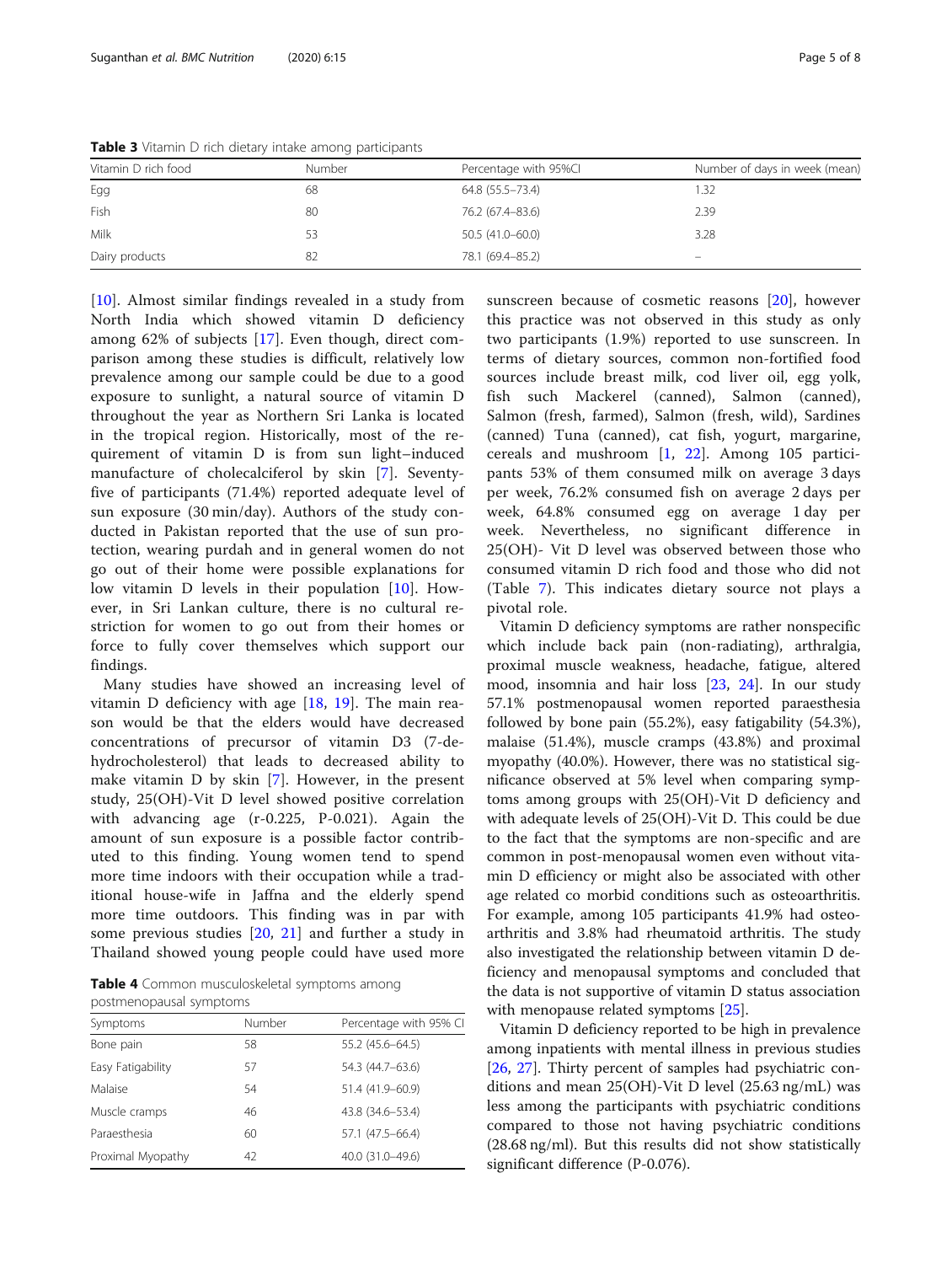| Vitamin D rich food | Number | Percentage with 95%Cl | Number of days in week (mean) |
|---------------------|--------|-----------------------|-------------------------------|
| Egg                 | 68     | 64.8 (55.5 - 73.4)    | 1.32                          |
| Fish                | 80     | 76.2 (67.4-83.6)      | 2.39                          |
| Milk                | 53     | $50.5(41.0 - 60.0)$   | 3.28                          |
| Dairy products      | 82     | 78.1 (69.4-85.2)      | $\qquad \qquad \  \, -$       |

<span id="page-4-0"></span>Table 3 Vitamin D rich dietary intake among participants

[[10\]](#page-7-0). Almost similar findings revealed in a study from North India which showed vitamin D deficiency among 62% of subjects [[17](#page-7-0)]. Even though, direct comparison among these studies is difficult, relatively low prevalence among our sample could be due to a good exposure to sunlight, a natural source of vitamin D throughout the year as Northern Sri Lanka is located in the tropical region. Historically, most of the requirement of vitamin D is from sun light–induced manufacture of cholecalciferol by skin [\[7](#page-7-0)]. Seventyfive of participants (71.4%) reported adequate level of sun exposure (30 min/day). Authors of the study conducted in Pakistan reported that the use of sun protection, wearing purdah and in general women do not go out of their home were possible explanations for low vitamin D levels in their population [\[10](#page-7-0)]. However, in Sri Lankan culture, there is no cultural restriction for women to go out from their homes or force to fully cover themselves which support our findings.

Many studies have showed an increasing level of vitamin D deficiency with age  $[18, 19]$  $[18, 19]$  $[18, 19]$  $[18, 19]$  $[18, 19]$ . The main reason would be that the elders would have decreased concentrations of precursor of vitamin D3 (7-dehydrocholesterol) that leads to decreased ability to make vitamin D by skin [\[7](#page-7-0)]. However, in the present study, 25(OH)-Vit D level showed positive correlation with advancing age (r-0.225, P-0.021). Again the amount of sun exposure is a possible factor contributed to this finding. Young women tend to spend more time indoors with their occupation while a traditional house-wife in Jaffna and the elderly spend more time outdoors. This finding was in par with some previous studies [\[20](#page-7-0), [21\]](#page-7-0) and further a study in Thailand showed young people could have used more

Table 4 Common musculoskeletal symptoms among postmenopausal symptoms

| Symptoms          | Number | Percentage with 95% CI |
|-------------------|--------|------------------------|
| Bone pain         | 58     | 55.2 (45.6-64.5)       |
| Easy Fatigability | 57     | 54.3 (44.7-63.6)       |
| Malaise           | 54     | 51.4 (41.9-60.9)       |
| Muscle cramps     | 46     | 43.8 (34.6-53.4)       |
| Paraesthesia      | 60     | 57.1 (47.5-66.4)       |
| Proximal Myopathy | 42     | 40.0 (31.0-49.6)       |

sunscreen because of cosmetic reasons [\[20](#page-7-0)], however this practice was not observed in this study as only two participants (1.9%) reported to use sunscreen. In terms of dietary sources, common non-fortified food sources include breast milk, cod liver oil, egg yolk, fish such Mackerel (canned), Salmon (canned), Salmon (fresh, farmed), Salmon (fresh, wild), Sardines (canned) Tuna (canned), cat fish, yogurt, margarine, cereals and mushroom [\[1](#page-7-0), [22\]](#page-7-0). Among 105 participants 53% of them consumed milk on average 3 days per week, 76.2% consumed fish on average 2 days per week, 64.8% consumed egg on average 1 day per week. Nevertheless, no significant difference in 25(OH)- Vit D level was observed between those who consumed vitamin D rich food and those who did not (Table [7](#page-6-0)). This indicates dietary source not plays a pivotal role.

Vitamin D deficiency symptoms are rather nonspecific which include back pain (non-radiating), arthralgia, proximal muscle weakness, headache, fatigue, altered mood, insomnia and hair loss [[23,](#page-7-0) [24](#page-7-0)]. In our study 57.1% postmenopausal women reported paraesthesia followed by bone pain (55.2%), easy fatigability (54.3%), malaise (51.4%), muscle cramps (43.8%) and proximal myopathy (40.0%). However, there was no statistical significance observed at 5% level when comparing symptoms among groups with 25(OH)-Vit D deficiency and with adequate levels of 25(OH)-Vit D. This could be due to the fact that the symptoms are non-specific and are common in post-menopausal women even without vitamin D efficiency or might also be associated with other age related co morbid conditions such as osteoarthritis. For example, among 105 participants 41.9% had osteoarthritis and 3.8% had rheumatoid arthritis. The study also investigated the relationship between vitamin D deficiency and menopausal symptoms and concluded that the data is not supportive of vitamin D status association with menopause related symptoms [\[25](#page-7-0)].

Vitamin D deficiency reported to be high in prevalence among inpatients with mental illness in previous studies [[26,](#page-7-0) [27](#page-7-0)]. Thirty percent of samples had psychiatric conditions and mean 25(OH)-Vit D level (25.63 ng/mL) was less among the participants with psychiatric conditions compared to those not having psychiatric conditions (28.68 ng/ml). But this results did not show statistically significant difference (P-0.076).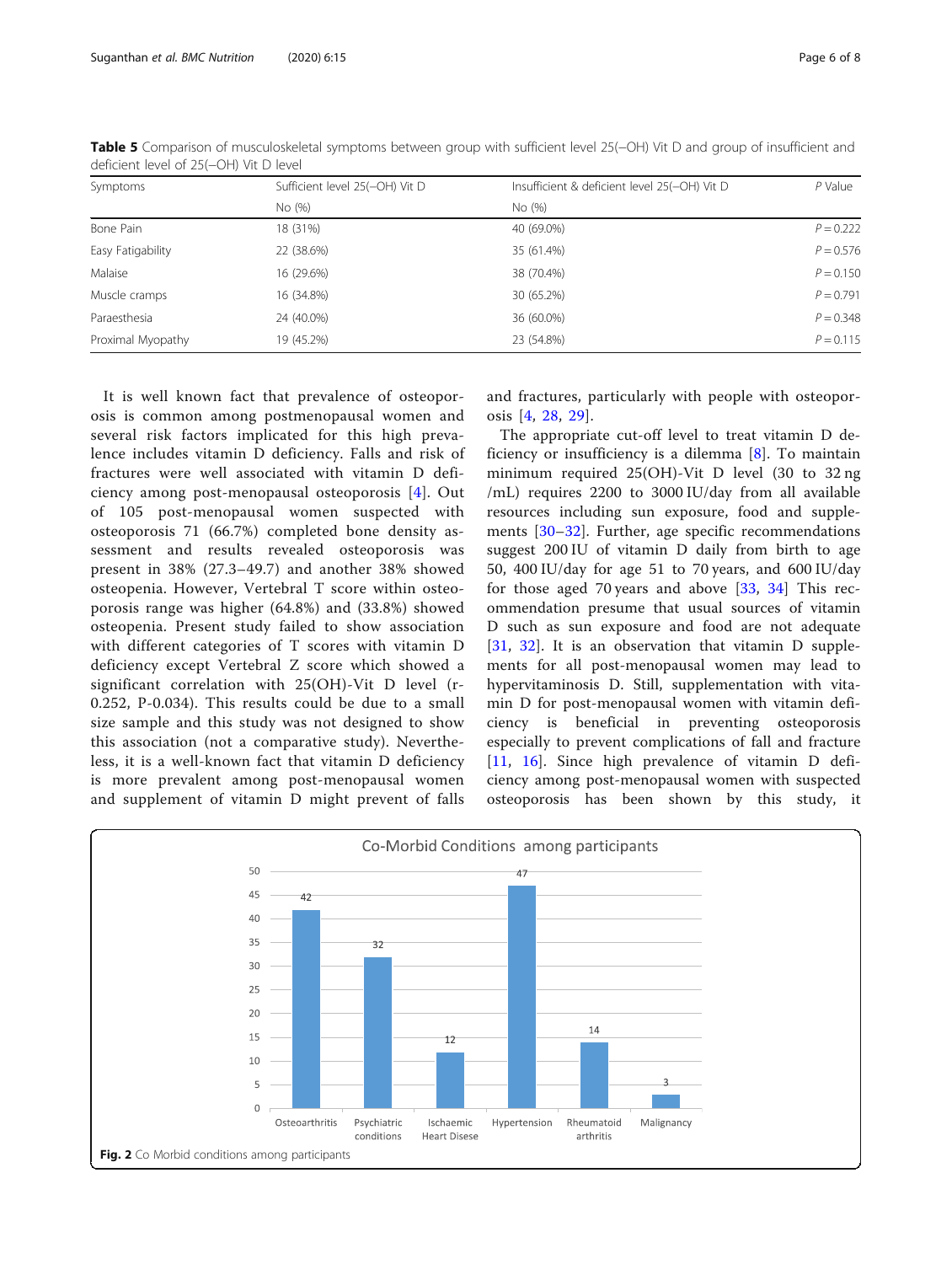| Symptoms          | Sufficient level 25(-OH) Vit D | Insufficient & deficient level 25(-OH) Vit D | $P$ Value   |
|-------------------|--------------------------------|----------------------------------------------|-------------|
|                   | No (%)                         | No (%)                                       |             |
| Bone Pain         | 18 (31%)                       | 40 (69.0%)                                   | $P = 0.222$ |
| Easy Fatigability | 22 (38.6%)                     | 35 (61.4%)                                   | $P = 0.576$ |
| <b>Malaise</b>    | 16 (29.6%)                     | 38 (70.4%)                                   | $P = 0.150$ |
| Muscle cramps     | 16 (34.8%)                     | 30 (65.2%)                                   | $P = 0.791$ |
| Paraesthesia      | 24 (40.0%)                     | 36 (60.0%)                                   | $P = 0.348$ |
| Proximal Myopathy | 19 (45.2%)                     | 23 (54.8%)                                   | $P = 0.115$ |

<span id="page-5-0"></span>Table 5 Comparison of musculoskeletal symptoms between group with sufficient level 25(−OH) Vit D and group of insufficient and deficient level of 25(−OH) Vit D level

It is well known fact that prevalence of osteoporosis is common among postmenopausal women and several risk factors implicated for this high prevalence includes vitamin D deficiency. Falls and risk of fractures were well associated with vitamin D deficiency among post-menopausal osteoporosis [[4\]](#page-7-0). Out of 105 post-menopausal women suspected with osteoporosis 71 (66.7%) completed bone density assessment and results revealed osteoporosis was present in 38% (27.3–49.7) and another 38% showed osteopenia. However, Vertebral T score within osteoporosis range was higher (64.8%) and (33.8%) showed osteopenia. Present study failed to show association with different categories of T scores with vitamin D deficiency except Vertebral Z score which showed a significant correlation with 25(OH)-Vit D level (r-0.252, P-0.034). This results could be due to a small size sample and this study was not designed to show this association (not a comparative study). Nevertheless, it is a well-known fact that vitamin D deficiency is more prevalent among post-menopausal women and supplement of vitamin D might prevent of falls and fractures, particularly with people with osteoporosis [[4](#page-7-0), [28,](#page-7-0) [29](#page-7-0)].

The appropriate cut-off level to treat vitamin D deficiency or insufficiency is a dilemma [[8\]](#page-7-0). To maintain minimum required 25(OH)-Vit D level (30 to 32 ng /mL) requires 2200 to 3000 IU/day from all available resources including sun exposure, food and supplements [[30](#page-7-0)–[32\]](#page-7-0). Further, age specific recommendations suggest 200 IU of vitamin D daily from birth to age 50, 400 IU/day for age 51 to 70 years, and 600 IU/day for those aged 70 years and above [\[33](#page-7-0), [34\]](#page-7-0) This recommendation presume that usual sources of vitamin D such as sun exposure and food are not adequate [[31,](#page-7-0) [32](#page-7-0)]. It is an observation that vitamin D supplements for all post-menopausal women may lead to hypervitaminosis D. Still, supplementation with vitamin D for post-menopausal women with vitamin deficiency is beneficial in preventing osteoporosis especially to prevent complications of fall and fracture [[11,](#page-7-0) [16\]](#page-7-0). Since high prevalence of vitamin D deficiency among post-menopausal women with suspected osteoporosis has been shown by this study, it

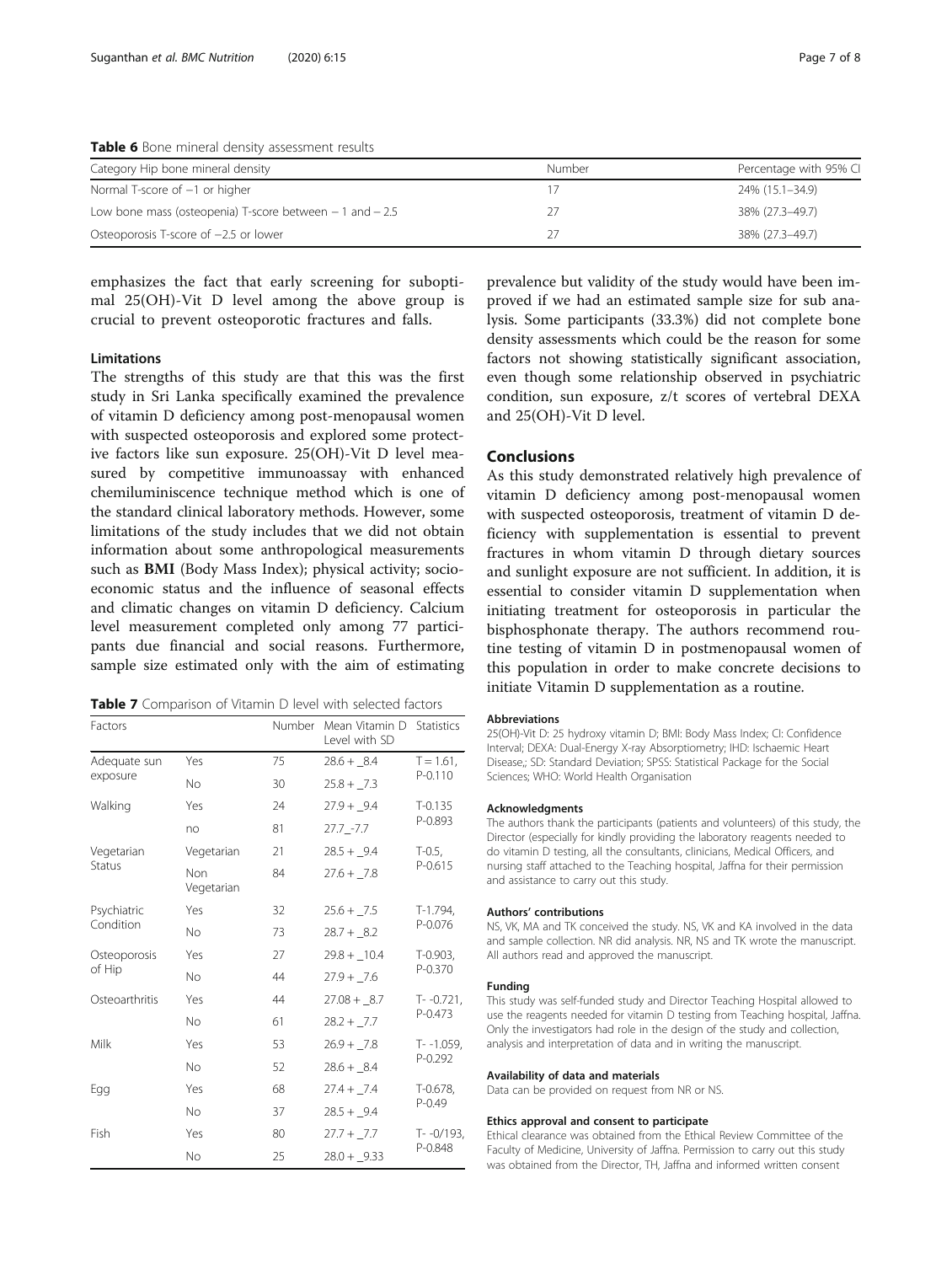<span id="page-6-0"></span>Table 6 Bone mineral density assessment results

| Category Hip bone mineral density                          | Number | Percentage with 95% CI |
|------------------------------------------------------------|--------|------------------------|
| Normal T-score of $-1$ or higher                           |        | 24% (15.1–34.9)        |
| Low bone mass (osteopenia) T-score between $-1$ and $-2.5$ |        | 38% (27.3–49.7)        |
| Osteoporosis T-score of $-2.5$ or lower                    |        | 38% (27.3–49.7)        |

emphasizes the fact that early screening for suboptimal 25(OH)-Vit D level among the above group is crucial to prevent osteoporotic fractures and falls.

# Limitations

The strengths of this study are that this was the first study in Sri Lanka specifically examined the prevalence of vitamin D deficiency among post-menopausal women with suspected osteoporosis and explored some protective factors like sun exposure. 25(OH)-Vit D level measured by competitive immunoassay with enhanced chemiluminiscence technique method which is one of the standard clinical laboratory methods. However, some limitations of the study includes that we did not obtain information about some anthropological measurements such as BMI (Body Mass Index); physical activity; socioeconomic status and the influence of seasonal effects and climatic changes on vitamin D deficiency. Calcium level measurement completed only among 77 participants due financial and social reasons. Furthermore, sample size estimated only with the aim of estimating

Table 7 Comparison of Vitamin D level with selected factors

| Factors        |                   | Number | Mean Vitamin D<br>Level with SD | Statistics                    |  |
|----------------|-------------------|--------|---------------------------------|-------------------------------|--|
| Adequate sun   | Yes               | 75     | $28.6 + 8.4$                    | $T = 1.61$ ,<br>$P - 0.110$   |  |
| exposure       | <b>No</b>         | 30     | $25.8 + 7.3$                    |                               |  |
| Walking        | Yes               | 24     | $27.9 + 9.4$                    | $T-0.135$<br>P-0.893          |  |
|                | no                | 81     | $27.7 - 7.7$                    |                               |  |
| Vegetarian     | Vegetarian        | 21     | $28.5 + 9.4$                    | $T-0.5$ ,                     |  |
| Status         | Non<br>Vegetarian | 84     | $27.6 + 7.8$                    | $P - 0.615$                   |  |
| Psychiatric    | Yes               | 32     | $25.6 + 7.5$                    | T-1.794,<br>P-0.076           |  |
| Condition      | <b>No</b>         | 73     | $28.7 + 8.2$                    |                               |  |
| Osteoporosis   | Yes               | 27     | $29.8 + 10.4$                   | T-0.903,<br>P-0.370           |  |
| of Hip         | <b>No</b>         | 44     | $27.9 + 7.6$                    |                               |  |
| Osteoarthritis | Yes               | 44     | $27.08 + 8.7$                   | $T - -0.721$ ,<br>$P - 0.473$ |  |
|                | <b>No</b>         | 61     | $28.2 + 7.7$                    |                               |  |
| Milk           | Yes               | 53     | $26.9 + 7.8$                    | T- -1.059,                    |  |
|                | <b>No</b>         | 52     | $28.6 + 8.4$                    | $P - 0.292$                   |  |
| Egg            | Yes               | 68     | $27.4 + 7.4$                    | T-0.678,<br>$P - 0.49$        |  |
|                | <b>No</b>         | 37     | $28.5 + 9.4$                    |                               |  |
| Fish           | Yes               | 80     | $27.7 + 7.7$                    | T--0/193,                     |  |
|                | <b>No</b>         | 25     | $28.0 + 9.33$                   | P-0.848                       |  |

prevalence but validity of the study would have been improved if we had an estimated sample size for sub analysis. Some participants (33.3%) did not complete bone density assessments which could be the reason for some factors not showing statistically significant association, even though some relationship observed in psychiatric condition, sun exposure, z/t scores of vertebral DEXA and 25(OH)-Vit D level.

# Conclusions

As this study demonstrated relatively high prevalence of vitamin D deficiency among post-menopausal women with suspected osteoporosis, treatment of vitamin D deficiency with supplementation is essential to prevent fractures in whom vitamin D through dietary sources and sunlight exposure are not sufficient. In addition, it is essential to consider vitamin D supplementation when initiating treatment for osteoporosis in particular the bisphosphonate therapy. The authors recommend routine testing of vitamin D in postmenopausal women of this population in order to make concrete decisions to initiate Vitamin D supplementation as a routine.

#### Abbreviations

25(OH)-Vit D: 25 hydroxy vitamin D; BMI: Body Mass Index; CI: Confidence Interval; DEXA: Dual-Energy X-ray Absorptiometry; IHD: Ischaemic Heart Disease,; SD: Standard Deviation; SPSS: Statistical Package for the Social Sciences; WHO: World Health Organisation

#### Acknowledgments

The authors thank the participants (patients and volunteers) of this study, the Director (especially for kindly providing the laboratory reagents needed to do vitamin D testing, all the consultants, clinicians, Medical Officers, and nursing staff attached to the Teaching hospital, Jaffna for their permission and assistance to carry out this study.

#### Authors' contributions

NS, VK, MA and TK conceived the study. NS, VK and KA involved in the data and sample collection. NR did analysis. NR, NS and TK wrote the manuscript. All authors read and approved the manuscript.

#### Funding

This study was self-funded study and Director Teaching Hospital allowed to use the reagents needed for vitamin D testing from Teaching hospital, Jaffna. Only the investigators had role in the design of the study and collection, analysis and interpretation of data and in writing the manuscript.

#### Availability of data and materials

Data can be provided on request from NR or NS.

#### Ethics approval and consent to participate

Ethical clearance was obtained from the Ethical Review Committee of the Faculty of Medicine, University of Jaffna. Permission to carry out this study was obtained from the Director, TH, Jaffna and informed written consent